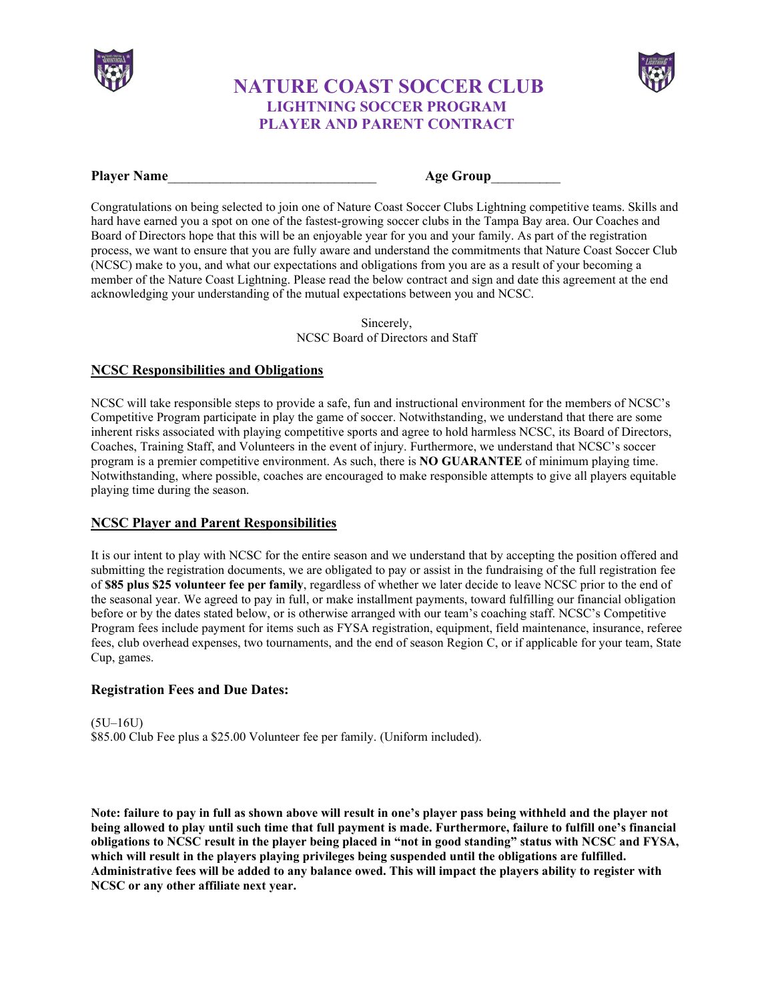

# **NATURE COAST SOCCER CLUB LIGHTNING SOCCER PROGRAM PLAYER AND PARENT CONTRACT**



#### **Player Name Age Group**

Congratulations on being selected to join one of Nature Coast Soccer Clubs Lightning competitive teams. Skills and hard have earned you a spot on one of the fastest-growing soccer clubs in the Tampa Bay area. Our Coaches and Board of Directors hope that this will be an enjoyable year for you and your family. As part of the registration process, we want to ensure that you are fully aware and understand the commitments that Nature Coast Soccer Club (NCSC) make to you, and what our expectations and obligations from you are as a result of your becoming a member of the Nature Coast Lightning. Please read the below contract and sign and date this agreement at the end acknowledging your understanding of the mutual expectations between you and NCSC.

> Sincerely, NCSC Board of Directors and Staff

### **NCSC Responsibilities and Obligations**

NCSC will take responsible steps to provide a safe, fun and instructional environment for the members of NCSC's Competitive Program participate in play the game of soccer. Notwithstanding, we understand that there are some inherent risks associated with playing competitive sports and agree to hold harmless NCSC, its Board of Directors, Coaches, Training Staff, and Volunteers in the event of injury. Furthermore, we understand that NCSC's soccer program is a premier competitive environment. As such, there is **NO GUARANTEE** of minimum playing time. Notwithstanding, where possible, coaches are encouraged to make responsible attempts to give all players equitable playing time during the season.

### **NCSC Player and Parent Responsibilities**

It is our intent to play with NCSC for the entire season and we understand that by accepting the position offered and submitting the registration documents, we are obligated to pay or assist in the fundraising of the full registration fee of **\$85 plus \$25 volunteer fee per family**, regardless of whether we later decide to leave NCSC prior to the end of the seasonal year. We agreed to pay in full, or make installment payments, toward fulfilling our financial obligation before or by the dates stated below, or is otherwise arranged with our team's coaching staff. NCSC's Competitive Program fees include payment for items such as FYSA registration, equipment, field maintenance, insurance, referee fees, club overhead expenses, two tournaments, and the end of season Region C, or if applicable for your team, State Cup, games.

### **Registration Fees and Due Dates:**

(5U–16U) \$85.00 Club Fee plus a \$25.00 Volunteer fee per family. (Uniform included).

**Note: failure to pay in full as shown above will result in one's player pass being withheld and the player not being allowed to play until such time that full payment is made. Furthermore, failure to fulfill one's financial obligations to NCSC result in the player being placed in "not in good standing" status with NCSC and FYSA, which will result in the players playing privileges being suspended until the obligations are fulfilled. Administrative fees will be added to any balance owed. This will impact the players ability to register with NCSC or any other affiliate next year.**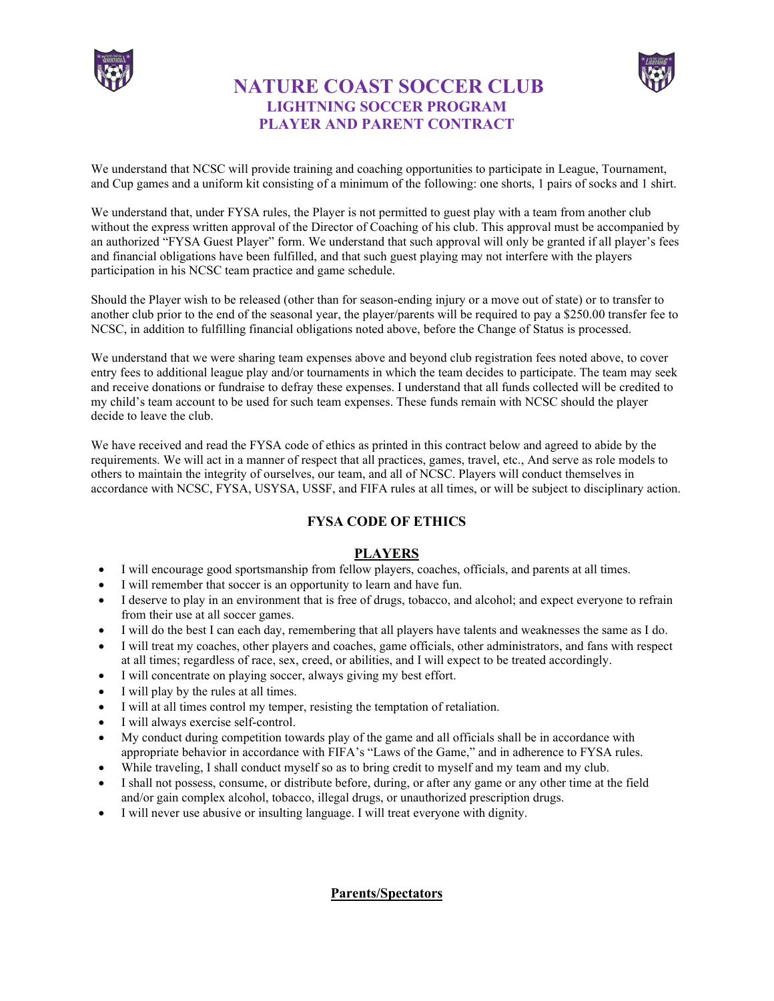

# **NATURE COAST SOCCER CLUB LIGHTNING SOCCER PROGRAM PLAYER AND PARENT CONTRACT**



We understand that NCSC will provide training and coaching opportunities to participate in League, Tournament, and Cup games and a uniform kit consisting of a minimum of the following: one shorts, 1 pairs of socks and 1 shirt.

We understand that, under FYSA rules, the Player is not permitted to guest play with a team from another club without the express written approval of the Director of Coaching of his club. This approval must be accompanied by an authorized "FYSA Guest Player" form. We understand that such approval will only be granted if all player's fees and financial obligations have been fulfilled, and that such guest playing may not interfere with the players participation in his NCSC team practice and game schedule.

Should the Player wish to be released (other than for season-ending injury or a move out of state) or to transfer to another club prior to the end of the seasonal year, the player/parents will be required to pay a \$250.00 transfer fee to NCSC, in addition to fulfilling financial obligations noted above, before the Change of Status is processed.

We understand that we were sharing team expenses above and beyond club registration fees noted above, to cover entry fees to additional league play and/or tournaments in which the team decides to participate. The team may seek and receive donations or fundraise to defray these expenses. I understand that all funds collected will be credited to my child's team account to be used for such team expenses. These funds remain with NCSC should the player decide to leave the club.

We have received and read the FYSA code of ethics as printed in this contract below and agreed to abide by the requirements. We will act in a manner of respect that all practices, games, travel, etc., And serve as role models to others to maintain the integrity of ourselves, our team, and all of NCSC. Players will conduct themselves in accordance with NCSC, FYSA, USYSA, USSF, and FIFA rules at all times, or will be subject to disciplinary action.

### **FYSA CODE OF ETHICS**

### **PLAYERS**

- I will encourage good sportsmanship from fellow players, coaches, officials, and parents at all times.
- I will remember that soccer is an opportunity to learn and have fun.
- I deserve to play in an environment that is free of drugs, tobacco, and alcohol; and expect everyone to refrain from their use at all soccer games.
- I will do the best I can each day, remembering that all players have talents and weaknesses the same as I do.
- I will treat my coaches, other players and coaches, game officials, other administrators, and fans with respect at all times; regardless of race, sex, creed, or abilities, and I will expect to be treated accordingly.
- I will concentrate on playing soccer, always giving my best effort.
- I will play by the rules at all times.
- I will at all times control my temper, resisting the temptation of retaliation.
- I will always exercise self-control.
- My conduct during competition towards play of the game and all officials shall be in accordance with appropriate behavior in accordance with FIFA's "Laws of the Game," and in adherence to FYSA rules.
- While traveling, I shall conduct myself so as to bring credit to myself and my team and my club.
- I shall not possess, consume, or distribute before, during, or after any game or any other time at the field and/or gain complex alcohol, tobacco, illegal drugs, or unauthorized prescription drugs.
- I will never use abusive or insulting language. I will treat everyone with dignity.

**Parents/Spectators**